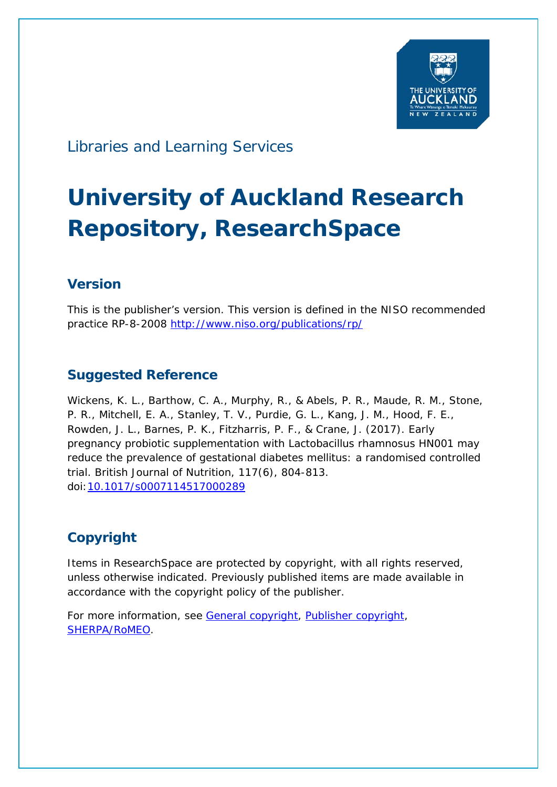

## Libraries and Learning Services

# **University of Auckland Research Repository, ResearchSpace**

### **Version**

This is the publisher's version. This version is defined in the NISO recommended practice RP-8-2008<http://www.niso.org/publications/rp/>

### **Suggested Reference**

Wickens, K. L., Barthow, C. A., Murphy, R., & Abels, P. R., Maude, R. M., Stone, P. R., Mitchell, E. A., Stanley, T. V., Purdie, G. L., Kang, J. M., Hood, F. E., Rowden, J. L., Barnes, P. K., Fitzharris, P. F., & Crane, J. (2017). Early pregnancy probiotic supplementation with Lactobacillus rhamnosus HN001 may reduce the prevalence of gestational diabetes mellitus: a randomised controlled trial. *British Journal of Nutrition*, *117*(6), 804-813. doi[:10.1017/s0007114517000289](http://dx.doi.org/10.1017/s0007114517000289)

### **Copyright**

Items in ResearchSpace are protected by copyright, with all rights reserved, unless otherwise indicated. Previously published items are made available in accordance with the copyright policy of the publisher.

For more information, see [General copyright,](http://webauthor.lbr.auckland.ac.nz/services/research-support/depositing-theses/copyright) [Publisher copyright,](https://www.cambridge.org/core/services/aop-file-manager/file/576015657a5d32e9221a7489) [SHERPA/RoMEO.](http://www.sherpa.ac.uk/romeo/issn/0007-1145/)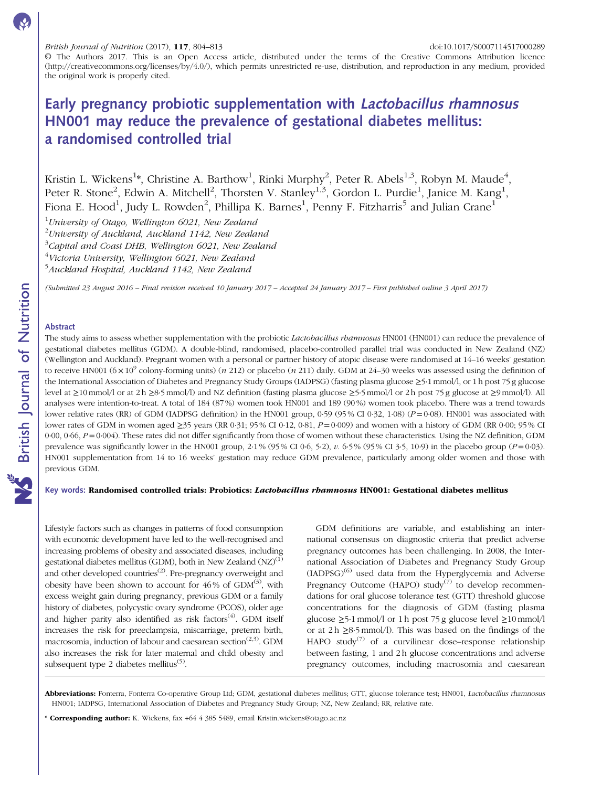© The Authors 2017. This is an Open Access article, distributed under the terms of the Creative Commons Attribution licence (http://creativecommons.org/licenses/by/4.0/), which permits unrestricted re-use, distribution, and reproduction in any medium, provided the original work is properly cited.

### Early pregnancy probiotic supplementation with Lactobacillus rhamnosus HN001 may reduce the prevalence of gestational diabetes mellitus: a randomised controlled trial

Kristin L. Wickens $^{1*}$ , Christine A. Barthow $^{1}$ , Rinki Murphy $^{2}$ , Peter R. Abels $^{1,3}$ , Robyn M. Maude $^{4},$ Peter R. Stone<sup>2</sup>, Edwin A. Mitchell<sup>2</sup>, Thorsten V. Stanley<sup>1,3</sup>, Gordon L. Purdie<sup>1</sup>, Janice M. Kang<sup>1</sup>, Fiona E. Hood $^1$ , Judy L. Rowden $^2$ , Phillipa K. Barnes $^1$ , Penny F. Fitzharris $^5$  and Julian Crane $^1$ 

 $1$ University of Otago, Wellington 6021, New Zealand

 $^2$ University of Auckland, Auckland 1142, New Zealand

 $^3$ Capital and Coast DHB, Wellington 6021, New Zealand

<sup>4</sup>Victoria University, Wellington 6021, New Zealand

<sup>5</sup>Auckland Hospital, Auckland 1142, New Zealand

(Submitted 23 August 2016 – Final revision received 10 January 2017 – Accepted 24 January 2017 – First published online 3 April 2017)

#### Abstract

The study aims to assess whether supplementation with the probiotic *Lactobacillus rhamnosus* HN001 (HN001) can reduce the prevalence of gestational diabetes mellitus (GDM). A double-blind, randomised, placebo-controlled parallel trial was conducted in New Zealand (NZ) (Wellington and Auckland). Pregnant women with a personal or partner history of atopic disease were randomised at 14–16 weeks' gestation to receive HN001 ( $6 \times 10^9$  colony-forming units) (n 212) or placebo (n 211) daily. GDM at 24–30 weeks was assessed using the definition of the International Association of Diabetes and Pregnancy Study Groups (IADPSG) (fasting plasma glucose ≥5·1 mmol/l, or 1 h post 75 g glucose level at ≥10 mmol/l or at 2 h ≥8·5 mmol/l) and NZ definition (fasting plasma glucose ≥5·5 mmol/l or 2 h post 75 g glucose at ≥9 mmol/l). All analyses were intention-to-treat. A total of 184 (87 %) women took HN001 and 189 (90 %) women took placebo. There was a trend towards lower relative rates (RR) of GDM (IADPSG definition) in the HN001 group, 0.59 (95% CI 0.32, 1.08) (P=0.08). HN001 was associated with lower rates of GDM in women aged ≥35 years (RR 0·31; 95 % CI 0·12, 0·81, P=0·009) and women with a history of GDM (RR 0·00; 95 % CI  $0.00$ ,  $0.66$ ,  $P = 0.004$ ). These rates did not differ significantly from those of women without these characteristics. Using the NZ definition, GDM prevalence was significantly lower in the HN001 group,  $2.1\%$  (95% CI 0·6, 5·2), v. 6·5% (95% CI 3·5, 10·9) in the placebo group ( $P=0.03$ ). HN001 supplementation from 14 to 16 weeks' gestation may reduce GDM prevalence, particularly among older women and those with previous GDM.

#### Key words: Randomised controlled trials: Probiotics: Lactobacillus rhamnosus HN001: Gestational diabetes mellitus

Lifestyle factors such as changes in patterns of food consumption with economic development have led to the well-recognised and increasing problems of obesity and associated diseases, including gestational diabetes mellitus (GDM), both in New Zealand  $(NZ)^{(1)}$  $(NZ)^{(1)}$  $(NZ)^{(1)}$ and other developed countries $^{(2)}$  $^{(2)}$  $^{(2)}$ . Pre-pregnancy overweight and obesity have been shown to account for  $46\%$  of GDM<sup>[\(3](#page-9-0))</sup>, with excess weight gain during pregnancy, previous GDM or a family history of diabetes, polycystic ovary syndrome (PCOS), older age and higher parity also identified as risk factors<sup>([4\)](#page-9-0)</sup>. GDM itself increases the risk for preeclampsia, miscarriage, preterm birth, macrosomia, induction of labour and caesarean section<sup> $(2,3)$ </sup>. GDM also increases the risk for later maternal and child obesity and subsequent type 2 diabetes mellitus<sup>([5](#page-9-0))</sup>.

GDM definitions are variable, and establishing an international consensus on diagnostic criteria that predict adverse pregnancy outcomes has been challenging. In 2008, the International Association of Diabetes and Pregnancy Study Group  $(IADPSG)^{(6)}$  $(IADPSG)^{(6)}$  $(IADPSG)^{(6)}$  used data from the Hyperglycemia and Adverse Pregnancy Outcome (HAPO) study<sup>([7](#page-9-0))</sup> to develop recommendations for oral glucose tolerance test (GTT) threshold glucose concentrations for the diagnosis of GDM (fasting plasma glucose  $\geq$ 5·1 mmol/l or 1 h post 75 g glucose level  $\geq$ 10 mmol/l or at  $2h \geq 8.5$  mmol/l). This was based on the findings of the HAPO study<sup>[\(7](#page-9-0))</sup> of a curvilinear dose–response relationship between fasting, 1 and 2 h glucose concentrations and adverse pregnancy outcomes, including macrosomia and caesarean

\* Corresponding author: K. Wickens, fax +64 4 385 5489, email [Kristin.wickens@otago.ac.nz](mailto:Kristin.wickens@otago.ac.nz)

Abbreviations: Fonterra, Fonterra Co-operative Group Ltd; GDM, gestational diabetes mellitus; GTT, glucose tolerance test; HN001, Lactobacillus rhamnosus HN001; IADPSG, International Association of Diabetes and Pregnancy Study Group; NZ, New Zealand; RR, relative rate.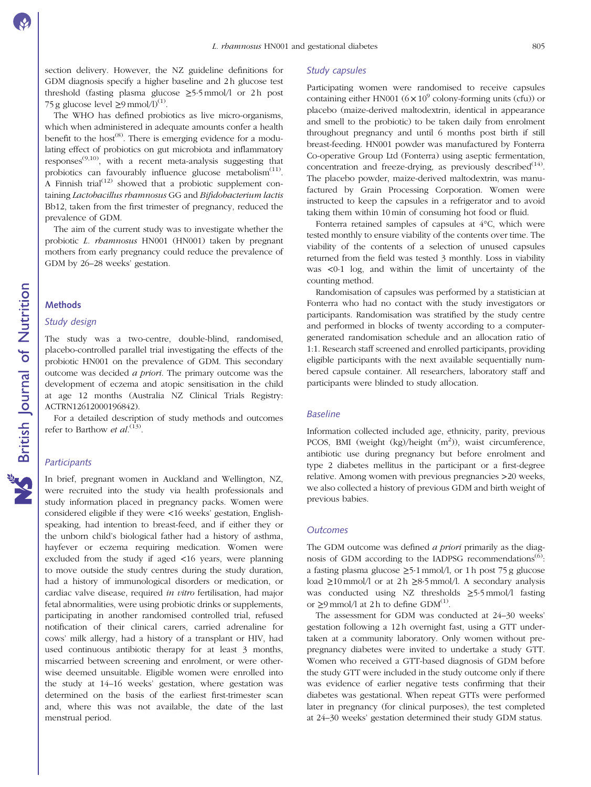section delivery. However, the NZ guideline definitions for GDM diagnosis specify a higher baseline and 2h glucose test threshold (fasting plasma glucose  $\geq$ 5.5 mmol/l or 2 h post 75 g glucose level  $\geq$ 9 mmol/l)<sup>[\(1\)](#page-9-0)</sup>.

The WHO has defined probiotics as live micro-organisms, which when administered in adequate amounts confer a health benefit to the host<sup> $(8)$ </sup>. There is emerging evidence for a modulating effect of probiotics on gut microbiota and inflammatory responses $^{(9,10)}$  $^{(9,10)}$  $^{(9,10)}$ , with a recent meta-analysis suggesting that probiotics can favourably influence glucose metabolism $(11)$ . A Finnish trial<sup>[\(12](#page-9-0))</sup> showed that a probiotic supplement containing Lactobacillus rhamnosus GG and Bifidobacterium lactis Bb12, taken from the first trimester of pregnancy, reduced the prevalence of GDM.

The aim of the current study was to investigate whether the probiotic L. rhamnosus HN001 (HN001) taken by pregnant mothers from early pregnancy could reduce the prevalence of GDM by 26–28 weeks' gestation.

#### **Methods**

#### Study design

The study was a two-centre, double-blind, randomised, placebo-controlled parallel trial investigating the effects of the probiotic HN001 on the prevalence of GDM. This secondary outcome was decided a priori. The primary outcome was the development of eczema and atopic sensitisation in the child at age 12 months (Australia NZ Clinical Trials Registry: ACTRN12612000196842).

For a detailed description of study methods and outcomes refer to Barthow et  $al^{(13)}$  $al^{(13)}$  $al^{(13)}$ .

#### **Participants**

In brief, pregnant women in Auckland and Wellington, NZ, were recruited into the study via health professionals and study information placed in pregnancy packs. Women were considered eligible if they were <16 weeks' gestation, Englishspeaking, had intention to breast-feed, and if either they or the unborn child's biological father had a history of asthma, hayfever or eczema requiring medication. Women were excluded from the study if aged <16 years, were planning to move outside the study centres during the study duration, had a history of immunological disorders or medication, or cardiac valve disease, required in vitro fertilisation, had major fetal abnormalities, were using probiotic drinks or supplements, participating in another randomised controlled trial, refused notification of their clinical carers, carried adrenaline for cows' milk allergy, had a history of a transplant or HIV, had used continuous antibiotic therapy for at least 3 months, miscarried between screening and enrolment, or were otherwise deemed unsuitable. Eligible women were enrolled into the study at 14–16 weeks' gestation, where gestation was determined on the basis of the earliest first-trimester scan and, where this was not available, the date of the last menstrual period.

#### Study capsules

Participating women were randomised to receive capsules containing either HN001 ( $6 \times 10^9$  colony-forming units (cfu)) or placebo (maize-derived maltodextrin, identical in appearance and smell to the probiotic) to be taken daily from enrolment throughout pregnancy and until 6 months post birth if still breast-feeding. HN001 powder was manufactured by Fonterra Co-operative Group Ltd (Fonterra) using aseptic fermentation, concentration and freeze-drying, as previously described $(14)$ . The placebo powder, maize-derived maltodextrin, was manufactured by Grain Processing Corporation. Women were instructed to keep the capsules in a refrigerator and to avoid taking them within 10 min of consuming hot food or fluid.

Fonterra retained samples of capsules at 4°C, which were tested monthly to ensure viability of the contents over time. The viability of the contents of a selection of unused capsules returned from the field was tested 3 monthly. Loss in viability was <0·1 log, and within the limit of uncertainty of the counting method.

Randomisation of capsules was performed by a statistician at Fonterra who had no contact with the study investigators or participants. Randomisation was stratified by the study centre and performed in blocks of twenty according to a computergenerated randomisation schedule and an allocation ratio of 1:1. Research staff screened and enrolled participants, providing eligible participants with the next available sequentially numbered capsule container. All researchers, laboratory staff and participants were blinded to study allocation.

#### Baseline

Information collected included age, ethnicity, parity, previous PCOS, BMI (weight (kg)/height (m<sup>2</sup>)), waist circumference, antibiotic use during pregnancy but before enrolment and type 2 diabetes mellitus in the participant or a first-degree relative. Among women with previous pregnancies >20 weeks, we also collected a history of previous GDM and birth weight of previous babies.

#### **Outcomes**

The GDM outcome was defined *a priori* primarily as the diag-nosis of GDM according to the IADPSG recommendations<sup>[\(6\)](#page-9-0)</sup>: a fasting plasma glucose  $\geq$ 5·1 mmol/l, or 1 h post 75 g glucose load  $\geq$ 10 mmol/l or at 2 h  $\geq$ 8.5 mmol/l. A secondary analysis was conducted using NZ thresholds ≥5·5 mmol/l fasting or  $\geq$ 9 mmol/l at 2 h to define GDM<sup>[\(1\)](#page-9-0)</sup>.

The assessment for GDM was conducted at 24–30 weeks' gestation following a 12 h overnight fast, using a GTT undertaken at a community laboratory. Only women without prepregnancy diabetes were invited to undertake a study GTT. Women who received a GTT-based diagnosis of GDM before the study GTT were included in the study outcome only if there was evidence of earlier negative tests confirming that their diabetes was gestational. When repeat GTTs were performed later in pregnancy (for clinical purposes), the test completed at 24–30 weeks' gestation determined their study GDM status.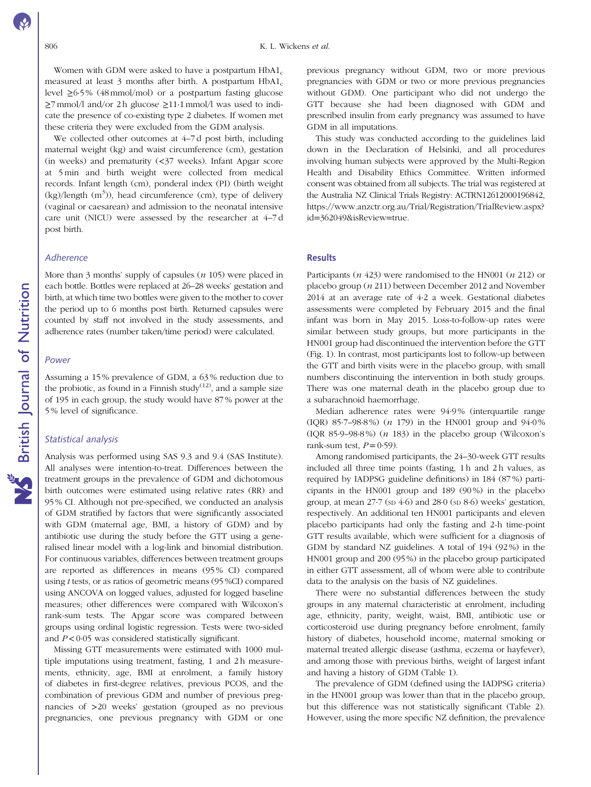Women with GDM were asked to have a postpartum  $H<sub>DA1c</sub>$ measured at least 3 months after birth. A postpartum  $HbA1_c$ level ≥6·5 % (48 mmol/mol) or a postpartum fasting glucose  $\geq$ 7 mmol/l and/or 2 h glucose  $\geq$ 11·1 mmol/l was used to indicate the presence of co-existing type 2 diabetes. If women met these criteria they were excluded from the GDM analysis.

We collected other outcomes at 4–7 d post birth, including maternal weight (kg) and waist circumference (cm), gestation (in weeks) and prematurity (<37 weeks). Infant Apgar score at 5 min and birth weight were collected from medical records. Infant length (cm), ponderal index (PI) (birth weight  $(kg)/length$   $(m<sup>3</sup>)$ ), head circumference (cm), type of delivery (vaginal or caesarean) and admission to the neonatal intensive care unit (NICU) were assessed by the researcher at 4–7 d post birth.

#### **Adherence**

More than 3 months' supply of capsules  $(n 105)$  were placed in each bottle. Bottles were replaced at 26–28 weeks' gestation and birth, at which time two bottles were given to the mother to cover the period up to 6 months post birth. Returned capsules were counted by staff not involved in the study assessments, and adherence rates (number taken/time period) were calculated.

#### Power

Assuming a 15 % prevalence of GDM, a 63 % reduction due to the probiotic, as found in a Finnish study<sup>([12](#page-9-0))</sup>, and a sample size of 195 in each group, the study would have 87 % power at the 5 % level of significance.

#### Statistical analysis

Analysis was performed using SAS 9.3 and 9.4 (SAS Institute). All analyses were intention-to-treat. Differences between the treatment groups in the prevalence of GDM and dichotomous birth outcomes were estimated using relative rates (RR) and 95 % CI. Although not pre-specified, we conducted an analysis of GDM stratified by factors that were significantly associated with GDM (maternal age, BMI, a history of GDM) and by antibiotic use during the study before the GTT using a generalised linear model with a log-link and binomial distribution. For continuous variables, differences between treatment groups are reported as differences in means (95 % CI) compared using t tests, or as ratios of geometric means (95 %CI) compared using ANCOVA on logged values, adjusted for logged baseline measures; other differences were compared with Wilcoxon's rank-sum tests. The Apgar score was compared between groups using ordinal logistic regression. Tests were two-sided and  $P < 0.05$  was considered statistically significant.

Missing GTT measurements were estimated with 1000 multiple imputations using treatment, fasting, 1 and 2 h measurements, ethnicity, age, BMI at enrolment, a family history of diabetes in first-degree relatives, previous PCOS, and the combination of previous GDM and number of previous pregnancies of >20 weeks' gestation (grouped as no previous pregnancies, one previous pregnancy with GDM or one

previous pregnancy without GDM, two or more previous pregnancies with GDM or two or more previous pregnancies without GDM). One participant who did not undergo the GTT because she had been diagnosed with GDM and prescribed insulin from early pregnancy was assumed to have GDM in all imputations.

This study was conducted according to the guidelines laid down in the Declaration of Helsinki, and all procedures involving human subjects were approved by the Multi-Region Health and Disability Ethics Committee. Written informed consent was obtained from all subjects. The trial was registered at the Australia NZ Clinical Trials Registry: ACTRN12612000196842, [https://www.anzctr.org.au/Trial/Registration/TrialReview.aspx?](https://www.anzctr.org.au/Trial/Registration/TrialReview.aspx?id=362049&isReview=true) id=[362049&isReview](https://www.anzctr.org.au/Trial/Registration/TrialReview.aspx?id=362049&isReview=true)=true.

#### **Results**

Participants  $(n 423)$  were randomised to the HN001  $(n 212)$  or placebo group (n 211) between December 2012 and November 2014 at an average rate of 4·2 a week. Gestational diabetes assessments were completed by February 2015 and the final infant was born in May 2015. Loss-to-follow-up rates were similar between study groups, but more participants in the HN001 group had discontinued the intervention before the GTT [\(Fig. 1](#page-4-0)). In contrast, most participants lost to follow-up between the GTT and birth visits were in the placebo group, with small numbers discontinuing the intervention in both study groups. There was one maternal death in the placebo group due to a subarachnoid haemorrhage.

Median adherence rates were 94·9 % (interquartile range (IQR) 85·7–98·8 %) (n 179) in the HN001 group and 94·0 % (IQR 85·9–98·8 %) (n 183) in the placebo group (Wilcoxon's rank-sum test,  $P = 0.59$ ).

Among randomised participants, the 24–30-week GTT results included all three time points (fasting, 1 h and 2 h values, as required by IADPSG guideline definitions) in 184 (87 %) participants in the HN001 group and 189 (90 %) in the placebo group, at mean  $27.7$  (sp  $4.6$ ) and  $28.0$  (sp  $8.6$ ) weeks' gestation, respectively. An additional ten HN001 participants and eleven placebo participants had only the fasting and 2-h time-point GTT results available, which were sufficient for a diagnosis of GDM by standard NZ guidelines. A total of 194 (92 %) in the HN001 group and 200 (95 %) in the placebo group participated in either GTT assessment, all of whom were able to contribute data to the analysis on the basis of NZ guidelines.

There were no substantial differences between the study groups in any maternal characteristic at enrolment, including age, ethnicity, parity, weight, waist, BMI, antibiotic use or corticosteroid use during pregnancy before enrolment, family history of diabetes, household income, maternal smoking or maternal treated allergic disease (asthma, eczema or hayfever), and among those with previous births, weight of largest infant and having a history of GDM ([Table 1](#page-5-0)).

The prevalence of GDM (defined using the IADPSG criteria) in the HN001 group was lower than that in the placebo group, but this difference was not statistically significant ([Table 2](#page-5-0)). However, using the more specific NZ definition, the prevalence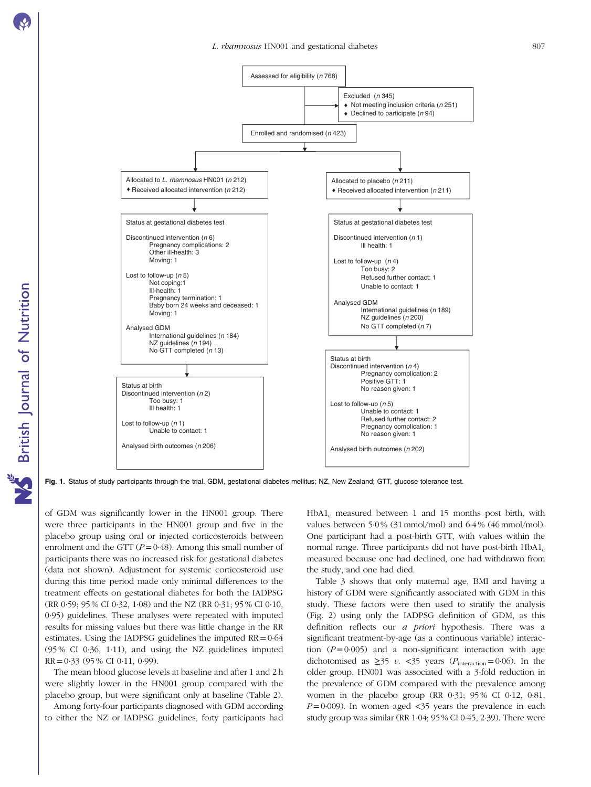<span id="page-4-0"></span>

Fig. 1. Status of study participants through the trial. GDM, gestational diabetes mellitus; NZ, New Zealand; GTT, glucose tolerance test.

of GDM was significantly lower in the HN001 group. There were three participants in the HN001 group and five in the placebo group using oral or injected corticosteroids between enrolment and the GTT ( $P = 0.48$ ). Among this small number of participants there was no increased risk for gestational diabetes (data not shown). Adjustment for systemic corticosteroid use during this time period made only minimal differences to the treatment effects on gestational diabetes for both the IADPSG (RR 0·59; 95 % CI 0·32, 1·08) and the NZ (RR 0·31; 95 % CI 0·10, 0·95) guidelines. These analyses were repeated with imputed results for missing values but there was little change in the RR estimates. Using the IADPSG guidelines the imputed  $RR = 0.64$ (95 % CI 0·36, 1·11), and using the NZ guidelines imputed  $RR = 0.33$  (95% CI 0.11, 0.99).

The mean blood glucose levels at baseline and after 1 and 2 h were slightly lower in the HN001 group compared with the placebo group, but were significant only at baseline [\(Table 2](#page-5-0)).

Among forty-four participants diagnosed with GDM according to either the NZ or IADPSG guidelines, forty participants had HbA1<sub>c</sub> measured between 1 and 15 months post birth, with values between 5·0 % (31 mmol/mol) and 6·4 % (46 mmol/mol). One participant had a post-birth GTT, with values within the normal range. Three participants did not have post-birth  $HbA1<sub>c</sub>$ measured because one had declined, one had withdrawn from the study, and one had died.

[Table 3](#page-6-0) shows that only maternal age, BMI and having a history of GDM were significantly associated with GDM in this study. These factors were then used to stratify the analysis [\(Fig. 2\)](#page-7-0) using only the IADPSG definition of GDM, as this definition reflects our *a priori* hypothesis. There was a significant treatment-by-age (as a continuous variable) interaction  $(P= 0.005)$  and a non-significant interaction with age dichotomised as  $\geq$ 35 v. <35 years ( $P_{\text{interaction}}$ =0.06). In the older group, HN001 was associated with a 3-fold reduction in the prevalence of GDM compared with the prevalence among women in the placebo group (RR 0·31; 95 % CI 0·12, 0·81,  $P=0.009$ ). In women aged <35 years the prevalence in each study group was similar (RR 1·04; 95 % CI 0·45, 2·39). There were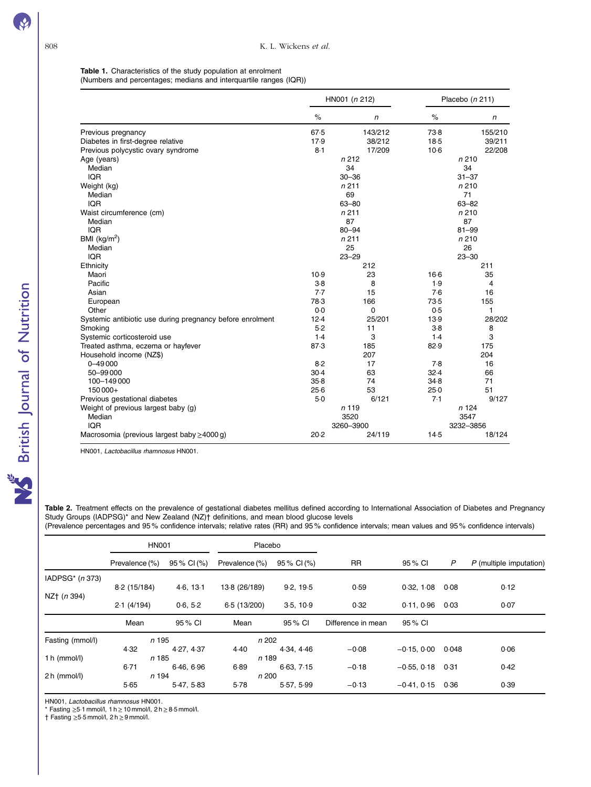### <span id="page-5-0"></span>Table 1. Characteristics of the study population at enrolment (Numbers and percentages; medians and interquartile ranges (IQR))

|                                                           |          | HN001 (n 212)     |        | Placebo (n 211)   |  |
|-----------------------------------------------------------|----------|-------------------|--------|-------------------|--|
|                                                           | $\%$     | n                 | $\%$   | n                 |  |
| Previous pregnancy                                        | 67.5     | 143/212           | 738    | 155/210           |  |
| Diabetes in first-degree relative                         | 17.9     | 38/212            | $18-5$ | 39/211            |  |
| Previous polycystic ovary syndrome                        | 8.1      | 17/209            | $10-6$ | 22/208            |  |
| Age (years)                                               |          | n212              |        | n210              |  |
| Median                                                    |          | 34                |        | 34                |  |
| <b>IOR</b>                                                |          | $30 - 36$         |        | $31 - 37$         |  |
| Weight (kg)                                               |          | n211              |        | n210              |  |
| Median                                                    |          | 69                |        | 71                |  |
| <b>IQR</b>                                                |          | $63 - 80$         |        | $63 - 82$         |  |
| Waist circumference (cm)                                  |          | n211              |        | n210              |  |
| Median                                                    |          | 87                |        | 87                |  |
| <b>IOR</b>                                                |          | $80 - 94$         |        | $81 - 99$         |  |
| BMI ( $kg/m2$ )                                           |          | n211              |        | n210              |  |
| Median                                                    |          | 25                |        | 26                |  |
| <b>IQR</b>                                                |          | $23 - 29$         |        | $23 - 30$         |  |
| Ethnicity                                                 |          | 212               |        | 211               |  |
| Maori                                                     | 10.9     | 23                | $16-6$ | 35                |  |
| Pacific                                                   | $3-8$    | 8                 | 1.9    | $\overline{4}$    |  |
| Asian                                                     | 7.7      | 15                | 7.6    | 16                |  |
| European                                                  | 78.3     | 166               | 73.5   | 155               |  |
| Other                                                     | 0.0      | 0                 | 0.5    | 1                 |  |
| Systemic antibiotic use during pregnancy before enrolment | 12.4     | 25/201            | 13.9   | 28/202            |  |
| Smoking                                                   | 5.2      | 11                | $3-8$  | 8                 |  |
| Systemic corticosteroid use                               | 1.4      | 3                 | 1.4    | 3                 |  |
| Treated asthma, eczema or hayfever                        | 87.3     | 185               | 82.9   | 175               |  |
| Household income (NZ\$)                                   |          | 207               |        | 204               |  |
| $0 - 49000$                                               | 8.2      | 17                | 7.8    | 16                |  |
| 50-99000                                                  | $30-4$   | 63                | 32.4   | 66                |  |
| 100-149 000                                               | $35 - 8$ | 74                | 34.8   | 71                |  |
| 150000+                                                   | 25.6     | 53                | 25.0   | 51<br>9/127       |  |
| Previous gestational diabetes                             | $5-0$    | 6/121             | 7.1    | n 124             |  |
| Weight of previous largest baby (g)<br>Median             |          | n <sub>119</sub>  |        |                   |  |
| <b>IQR</b>                                                |          | 3520<br>3260-3900 |        | 3547<br>3232-3856 |  |
|                                                           | 20.2     | 24/119            | 14.5   | 18/124            |  |
| Macrosomia (previous largest baby $\geq$ 4000 g)          |          |                   |        |                   |  |

HN001, Lactobacillus rhamnosus HN001.

Table 2. Treatment effects on the prevalence of gestational diabetes mellitus defined according to International Association of Diabetes and Pregnancy Study Groups (IADPSG)\* and New Zealand (NZ)† definitions, and mean blood glucose levels

(Prevalence percentages and 95 % confidence intervals; relative rates (RR) and 95 % confidence intervals; mean values and 95 % confidence intervals)

|                     | <b>HN001</b>   |             | Placebo        |             |                    |               |       |                           |
|---------------------|----------------|-------------|----------------|-------------|--------------------|---------------|-------|---------------------------|
|                     | Prevalence (%) | 95 % CI (%) | Prevalence (%) | 95 % CI (%) | <b>RR</b>          | 95 % CI       | P     | $P$ (multiple imputation) |
| IADPS $G^*$ (n 373) |                |             |                |             |                    |               |       |                           |
|                     | 8-2 (15/184)   | 4.6, 13.1   | 13-8 (26/189)  | 9.2, 19.5   | 0.59               | 0.32, 1.08    | 0.08  | 0.12                      |
| NZ† (n 394)         | 2.1(4/194)     | 0.6, 5.2    | 6.5 (13/200)   | 3.5.10.9    | 0.32               | 0.11.0.96     | 0.03  | 0.07                      |
|                     | Mean           | 95 % CI     | Mean           | 95 % CI     | Difference in mean | 95 % CI       |       |                           |
| Fasting (mmol/l)    | n 195          |             | n 202          |             |                    |               |       |                           |
|                     | 4.32           | 4.27, 4.37  | 4.40           | 4.34, 4.46  | $-0.08$            | $-0.15, 0.00$ | 0.048 | 0.06                      |
| 1 h $(mmol/l)$      | n 185          |             | n 189          |             |                    |               |       |                           |
|                     | 6.71           | 6.46.6.96   | 6.89           | 6.63, 7.15  | $-0.18$            | $-0.55, 0.18$ | 0.31  | 0.42                      |
| 2 h (mmol/l)        | n 194          |             | n 200          |             |                    |               |       |                           |
|                     | 5.65           | 5.47, 5.83  | 5.78           | 5.57, 5.99  | $-0.13$            | $-0.41, 0.15$ | 0.36  | 0.39                      |

HN001, Lactobacillus rhamnosus HN001.

\* Fasting  $\geq$ 5·1 mmol/l, 1 h  $\geq$  10 mmol/l, 2 h  $\geq$  8·5 mmol/l.

† Fasting ≥5·5 mmol/l, 2 h≥9 mmol/l.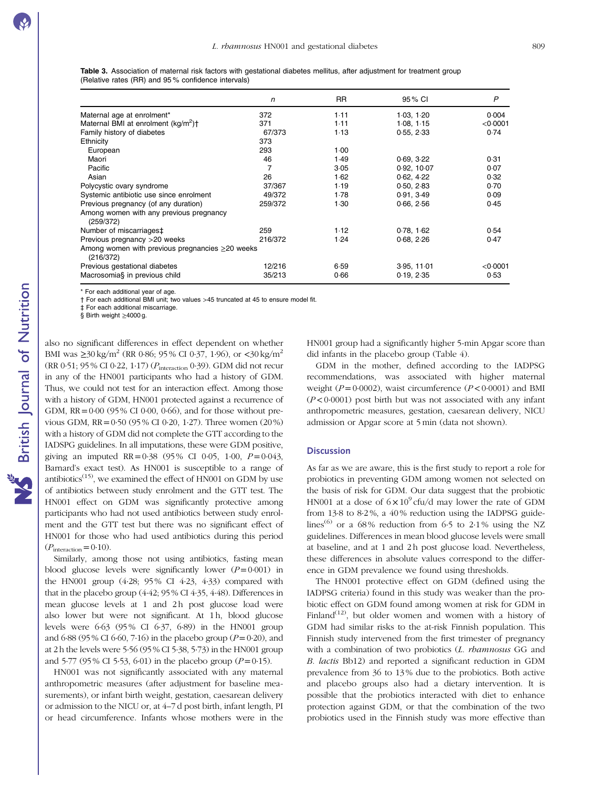<span id="page-6-0"></span>Table 3. Association of maternal risk factors with gestational diabetes mellitus, after adjustment for treatment group (Relative rates (RR) and 95 % confidence intervals)

|                                                                    | n       | <b>RR</b> | 95 % CI     | P        |
|--------------------------------------------------------------------|---------|-----------|-------------|----------|
| Maternal age at enrolment*                                         | 372     | 1.11      | 1.03, 1.20  | 0.004    |
| Maternal BMI at enrolment (kg/m <sup>2</sup> ) <sup>+</sup>        | 371     | $1-11$    | 1.08, 1.15  | < 0.0001 |
| Family history of diabetes                                         | 67/373  | 1.13      | 0.55, 2.33  | 0.74     |
| Ethnicity                                                          | 373     |           |             |          |
| European                                                           | 293     | 1.00      |             |          |
| Maori                                                              | 46      | 1.49      | 0.69, 3.22  | 0.31     |
| Pacific                                                            |         | 3.05      | 0.92, 10.07 | 0.07     |
| Asian                                                              | 26      | 1.62      | 0.62.4.22   | 0.32     |
| Polycystic ovary syndrome                                          | 37/367  | 1.19      | 0.50, 2.83  | 0.70     |
| Systemic antibiotic use since enrolment                            | 49/372  | 1.78      | 0.91, 3.49  | 0.09     |
| Previous pregnancy (of any duration)                               | 259/372 | 1.30      | 0.66, 2.56  | 0.45     |
| Among women with any previous pregnancy<br>(259/372)               |         |           |             |          |
| Number of miscarriages‡                                            | 259     | 1.12      | 0.78, 1.62  | 0.54     |
| Previous pregnancy > 20 weeks                                      | 216/372 | 1.24      | 0.68, 2.26  | 0.47     |
| Among women with previous pregnancies $\geq$ 20 weeks<br>(216/372) |         |           |             |          |
| Previous gestational diabetes                                      | 12/216  | 6.59      | 3.95, 11.01 | < 0.0001 |
| Macrosomia§ in previous child                                      | 35/213  | 0.66      | 0.19, 2.35  | 0.53     |

\* For each additional year of age.

† For each additional BMI unit; two values >45 truncated at 45 to ensure model fit.

‡ For each additional miscarriage.

§ Birth weight ≥4000 g.

also no significant differences in effect dependent on whether BMI was  $\geq 30 \text{ kg/m}^2$  (RR 0.86; 95% CI 0.37, 1.96), or  $\lt 30 \text{ kg/m}^2$ (RR 0·51; 95 % CI 0·22, 1·17) (Pinteraction 0·39). GDM did not recur in any of the HN001 participants who had a history of GDM. Thus, we could not test for an interaction effect. Among those with a history of GDM, HN001 protected against a recurrence of GDM,  $RR = 0.00$  (95% CI 0.00, 0.66), and for those without previous GDM,  $RR = 0.50$  (95 % CI 0.20, 1.27). Three women (20 %) with a history of GDM did not complete the GTT according to the IADSPG guidelines. In all imputations, these were GDM positive, giving an imputed RR=0.38 (95% CI 0.05, 1.00,  $P=0.043$ , Barnard's exact test). As HN001 is susceptible to a range of antibiotics<sup> $(15)$ </sup>, we examined the effect of HN001 on GDM by use of antibiotics between study enrolment and the GTT test. The HN001 effect on GDM was significantly protective among participants who had not used antibiotics between study enrolment and the GTT test but there was no significant effect of HN001 for those who had used antibiotics during this period  $(P_{\text{interaction}}=0.10)$ .

Similarly, among those not using antibiotics, fasting mean blood glucose levels were significantly lower  $(P=0.001)$  in the HN001 group (4·28; 95 % CI 4·23, 4·33) compared with that in the placebo group (4·42; 95 % CI 4·35, 4·48). Differences in mean glucose levels at 1 and 2h post glucose load were also lower but were not significant. At 1 h, blood glucose levels were  $6.63$  (95% CI  $6.37$ ,  $6.89$ ) in the HN001 group and  $6.88$  (95 % CI  $6.60$ , 7.16) in the placebo group ( $P=0.20$ ), and at 2 h the levels were 5·56 (95 % CI 5·38, 5·73) in the HN001 group and 5.77 (95% CI 5.53, 6.01) in the placebo group ( $P=0.15$ ).

HN001 was not significantly associated with any maternal anthropometric measures (after adjustment for baseline measurements), or infant birth weight, gestation, caesarean delivery or admission to the NICU or, at 4–7 d post birth, infant length, PI or head circumference. Infants whose mothers were in the HN001 group had a significantly higher 5-min Apgar score than did infants in the placebo group [\(Table 4\)](#page-8-0).

GDM in the mother, defined according to the IADPSG recommendations, was associated with higher maternal weight ( $P = 0.0002$ ), waist circumference ( $P < 0.0001$ ) and BMI (P< 0·0001) post birth but was not associated with any infant anthropometric measures, gestation, caesarean delivery, NICU admission or Apgar score at 5 min (data not shown).

#### **Discussion**

As far as we are aware, this is the first study to report a role for probiotics in preventing GDM among women not selected on the basis of risk for GDM. Our data suggest that the probiotic HN001 at a dose of  $6 \times 10^9$  cfu/d may lower the rate of GDM from 13·8 to 8·2 %, a 40 % reduction using the IADPSG guide-lines<sup>[\(6\)](#page-9-0)</sup> or a 68% reduction from 6.5 to 2.1% using the NZ guidelines. Differences in mean blood glucose levels were small at baseline, and at 1 and 2h post glucose load. Nevertheless, these differences in absolute values correspond to the difference in GDM prevalence we found using thresholds.

The HN001 protective effect on GDM (defined using the IADPSG criteria) found in this study was weaker than the probiotic effect on GDM found among women at risk for GDM in Finland<sup>([12\)](#page-9-0)</sup>, but older women and women with a history of GDM had similar risks to the at-risk Finnish population. This Finnish study intervened from the first trimester of pregnancy with a combination of two probiotics (L. *rhamnosus* GG and B. lactis Bb12) and reported a significant reduction in GDM prevalence from 36 to 13 % due to the probiotics. Both active and placebo groups also had a dietary intervention. It is possible that the probiotics interacted with diet to enhance protection against GDM, or that the combination of the two probiotics used in the Finnish study was more effective than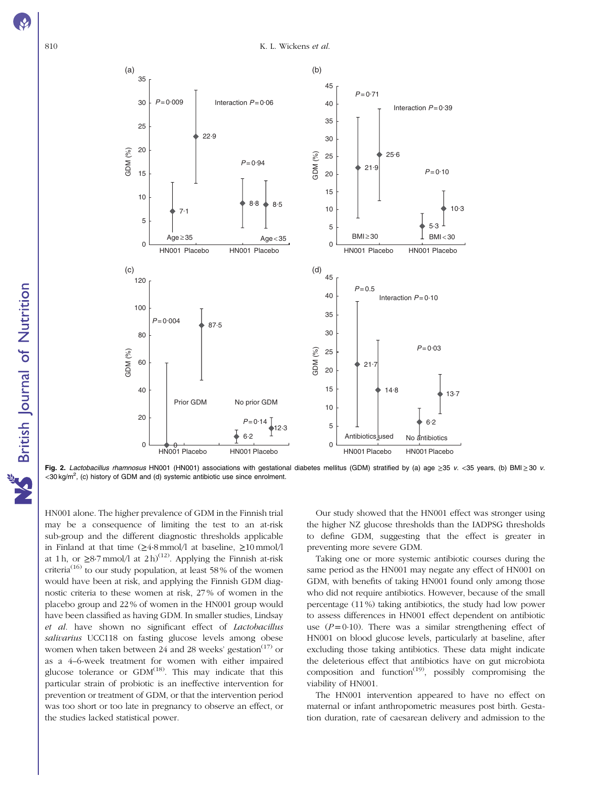<span id="page-7-0"></span>

Fig. 2. Lactobacillus rhamnosus HN001 (HN001) associations with gestational diabetes mellitus (GDM) stratified by (a) age ≥35 v. <35 years, (b) BMI≥30 v. <30 kg/m<sup>2</sup>, (c) history of GDM and (d) systemic antibiotic use since enrolment.

HN001 alone. The higher prevalence of GDM in the Finnish trial may be a consequence of limiting the test to an at-risk sub-group and the different diagnostic thresholds applicable in Finland at that time (≥4·8 mmol/l at baseline, ≥10 mmol/l at 1 h, or  $\geq 8.7$  mmol/l at 2 h)<sup>([12\)](#page-9-0)</sup>. Applying the Finnish at-risk criteria<sup>[\(16](#page-9-0))</sup> to our study population, at least 58% of the women would have been at risk, and applying the Finnish GDM diagnostic criteria to these women at risk, 27 % of women in the placebo group and 22 % of women in the HN001 group would have been classified as having GDM. In smaller studies, Lindsay et al. have shown no significant effect of Lactobacillus salivarius UCC118 on fasting glucose levels among obese women when taken between 24 and 28 weeks' gestation $(17)$  $(17)$  $(17)$  or as a 4–6-week treatment for women with either impaired glucose tolerance or  $GDM^{(18)}$  $GDM^{(18)}$  $GDM^{(18)}$ . This may indicate that this particular strain of probiotic is an ineffective intervention for prevention or treatment of GDM, or that the intervention period was too short or too late in pregnancy to observe an effect, or the studies lacked statistical power.

Our study showed that the HN001 effect was stronger using the higher NZ glucose thresholds than the IADPSG thresholds to define GDM, suggesting that the effect is greater in preventing more severe GDM.

Taking one or more systemic antibiotic courses during the same period as the HN001 may negate any effect of HN001 on GDM, with benefits of taking HN001 found only among those who did not require antibiotics. However, because of the small percentage (11 %) taking antibiotics, the study had low power to assess differences in HN001 effect dependent on antibiotic use  $(P=0.10)$ . There was a similar strengthening effect of HN001 on blood glucose levels, particularly at baseline, after excluding those taking antibiotics. These data might indicate the deleterious effect that antibiotics have on gut microbiota composition and function<sup> $(19)$  $(19)$  $(19)$ </sup>, possibly compromising the viability of HN001.

The HN001 intervention appeared to have no effect on maternal or infant anthropometric measures post birth. Gestation duration, rate of caesarean delivery and admission to the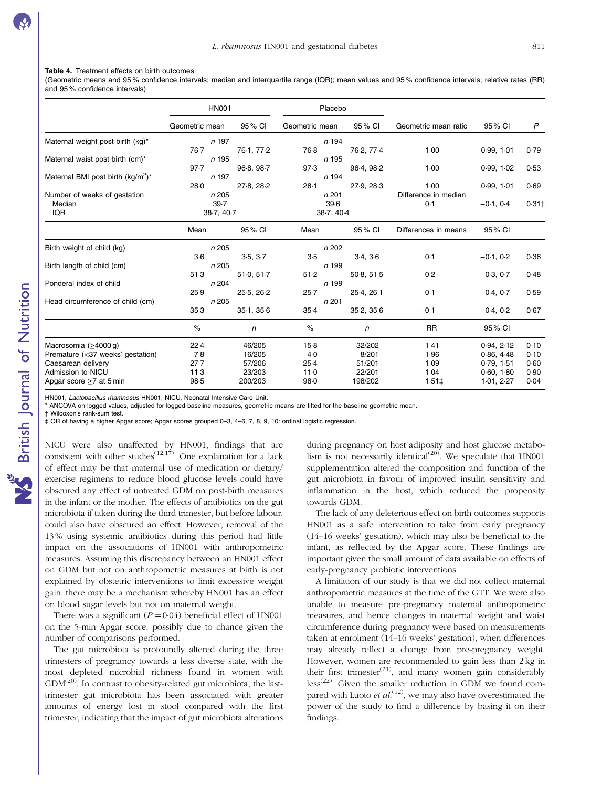#### <span id="page-8-0"></span>Table 4. Treatment effects on birth outcomes

(Geometric means and 95 % confidence intervals; median and interquartile range (IQR); mean values and 95 % confidence intervals; relative rates (RR) and 95 % confidence intervals)

|                                               | <b>HN001</b>   |              | Placebo        |            |                      |             |                     |
|-----------------------------------------------|----------------|--------------|----------------|------------|----------------------|-------------|---------------------|
|                                               | Geometric mean | 95 % CI      | Geometric mean | 95 % CI    | Geometric mean ratio | 95 % CI     | P                   |
| Maternal weight post birth (kg)*              | n 197          |              | n 194          |            |                      |             |                     |
|                                               | 76.7           | 76.1, 77.2   | 76.8           | 76-2, 77-4 | 1.00                 | 0.99, 1.01  | 0.79                |
| Maternal waist post birth (cm)*               | n 195          |              | n 195          |            |                      |             |                     |
|                                               | 97.7           | 96-8, 98-7   | 97.3           | 96.4, 98.2 | 1.00                 | 0.99, 1.02  | 0.53                |
| Maternal BMI post birth (kg/m <sup>2</sup> )* | n 197          |              | n 194          |            |                      |             |                     |
|                                               | 28.0           | 27-8, 28-2   | 28.1           | 27-9, 28-3 | 1.00                 | 0.99, 1.01  | 0.69                |
| Number of weeks of gestation                  | n 205          |              | n201           |            | Difference in median |             |                     |
| Median                                        | 39.7           |              | 39.6           |            | 0.1                  | $-0.1, 0.4$ | $0.31$ <sup>+</sup> |
| <b>IQR</b>                                    | 38.7, 40.7     |              | 38.7, 40.4     |            |                      |             |                     |
|                                               | Mean           | 95% CI       | Mean           | 95 % CI    | Differences in means | 95 % CI     |                     |
| Birth weight of child (kg)                    | n 205          |              | n 202          |            |                      |             |                     |
|                                               | $3-6$          | 3.5, 3.7     | 3.5            | 3.4, 3.6   | 0.1                  | $-0.1, 0.2$ | 0.36                |
| Birth length of child (cm)                    | n 205          |              | n 199          |            |                      |             |                     |
|                                               | 51.3           | 51.0, 51.7   | 51.2           | 50 8, 51 5 | 0.2                  | $-0.3, 0.7$ | 0.48                |
| Ponderal index of child                       | n 204          |              | n 199          |            |                      |             |                     |
|                                               | 25.9           | 25.5, 26.2   | 25.7           | 25.4, 26.1 | 0.1                  | $-0.4, 0.7$ | 0.59                |
| Head circumference of child (cm)              | n 205          |              | n 201          |            |                      |             |                     |
|                                               | 35.3           | 35.1, 35.6   | $35-4$         | 35.2, 35.6 | $-0.1$               | $-0.4, 0.2$ | 0.67                |
|                                               | $\%$           | $\mathsf{n}$ | $\%$           | n          | <b>RR</b>            | 95 % CI     |                     |
| Macrosomia $(≥4000q)$                         | 22.4           | 46/205       | $15-8$         | 32/202     | 1.41                 | 0.94, 2.12  | 0.10                |
| Premature (<37 weeks' gestation)              | 7.8            | 16/205       | 4.0            | 8/201      | 1.96                 | 0.86, 4.48  | 0.10                |
| Caesarean delivery                            | 27.7           | 57/206       | $25-4$         | 51/201     | 1.09                 | 0.79, 1.51  | 0.60                |
| Admission to NICU                             | 11.3           | 23/203       | 11.0           | 22/201     | 1.04                 | 0.60.1.80   | 0.90                |
| Apgar score $\geq 7$ at 5 min                 | 98.5           | 200/203      | 98.0           | 198/202    | $1.51 \pm$           | 1.01, 2.27  | 0.04                |

HN001, Lactobacillus rhamnosus HN001; NICU, Neonatal Intensive Care Unit.

ANCOVA on logged values, adjusted for logged baseline measures, geometric means are fitted for the baseline geometric mean.

† Wilcoxon's rank-sum test.

‡ OR of having a higher Apgar score; Apgar scores grouped 0–3, 4–6, 7, 8, 9, 10: ordinal logistic regression.

NICU were also unaffected by HN001, findings that are consistent with other studies<sup> $(12,17)$  $(12,17)$  $(12,17)$ </sup>. One explanation for a lack of effect may be that maternal use of medication or dietary/ exercise regimens to reduce blood glucose levels could have obscured any effect of untreated GDM on post-birth measures in the infant or the mother. The effects of antibiotics on the gut microbiota if taken during the third trimester, but before labour, could also have obscured an effect. However, removal of the 13 % using systemic antibiotics during this period had little impact on the associations of HN001 with anthropometric measures. Assuming this discrepancy between an HN001 effect on GDM but not on anthropometric measures at birth is not explained by obstetric interventions to limit excessive weight gain, there may be a mechanism whereby HN001 has an effect on blood sugar levels but not on maternal weight.

There was a significant  $(P = 0.04)$  beneficial effect of HN001 on the 5-min Apgar score, possibly due to chance given the number of comparisons performed.

The gut microbiota is profoundly altered during the three trimesters of pregnancy towards a less diverse state, with the most depleted microbial richness found in women with  $GDM<sup>(20)</sup>$  $GDM<sup>(20)</sup>$  $GDM<sup>(20)</sup>$ . In contrast to obesity-related gut microbiota, the lasttrimester gut microbiota has been associated with greater amounts of energy lost in stool compared with the first trimester, indicating that the impact of gut microbiota alterations during pregnancy on host adiposity and host glucose metabo-lism is not necessarily identical<sup>([20\)](#page-10-0)</sup>. We speculate that  $HNO01$ supplementation altered the composition and function of the gut microbiota in favour of improved insulin sensitivity and inflammation in the host, which reduced the propensity towards GDM.

The lack of any deleterious effect on birth outcomes supports HN001 as a safe intervention to take from early pregnancy (14–16 weeks' gestation), which may also be beneficial to the infant, as reflected by the Apgar score. These findings are important given the small amount of data available on effects of early-pregnancy probiotic interventions.

A limitation of our study is that we did not collect maternal anthropometric measures at the time of the GTT. We were also unable to measure pre-pregnancy maternal anthropometric measures, and hence changes in maternal weight and waist circumference during pregnancy were based on measurements taken at enrolment (14–16 weeks' gestation), when differences may already reflect a change from pre-pregnancy weight. However, women are recommended to gain less than 2 kg in their first trimester<sup>[\(21](#page-10-0))</sup>, and many women gain considerably  $\text{less}^{(22)}$  $\text{less}^{(22)}$  $\text{less}^{(22)}$ . Given the smaller reduction in GDM we found compared with Luoto et  $al$ .<sup>([12](#page-9-0))</sup>, we may also have overestimated the power of the study to find a difference by basing it on their findings.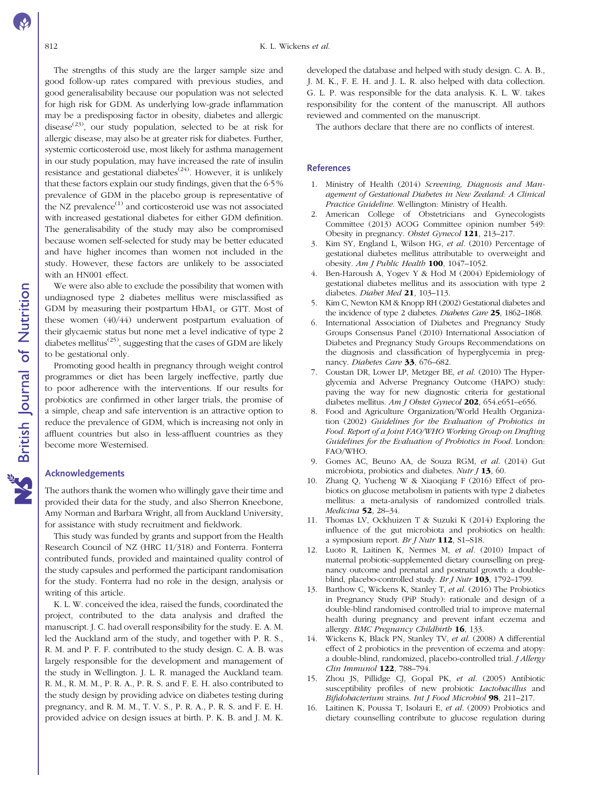<span id="page-9-0"></span>The strengths of this study are the larger sample size and good follow-up rates compared with previous studies, and good generalisability because our population was not selected for high risk for GDM. As underlying low-grade inflammation may be a predisposing factor in obesity, diabetes and allergic disease<sup>[\(23](#page-10-0))</sup>, our study population, selected to be at risk for allergic disease, may also be at greater risk for diabetes. Further, systemic corticosteroid use, most likely for asthma management in our study population, may have increased the rate of insulin resistance and gestational diabetes<sup> $(24)$  $(24)$  $(24)$ </sup>. However, it is unlikely that these factors explain our study findings, given that the 6·5 % prevalence of GDM in the placebo group is representative of the NZ prevalence $^{(1)}$  and corticosteroid use was not associated with increased gestational diabetes for either GDM definition. The generalisability of the study may also be compromised because women self-selected for study may be better educated and have higher incomes than women not included in the study. However, these factors are unlikely to be associated with an HN001 effect.

We were also able to exclude the possibility that women with undiagnosed type 2 diabetes mellitus were misclassified as GDM by measuring their postpartum  $HbA1_c$  or GTT. Most of these women (40/44) underwent postpartum evaluation of their glycaemic status but none met a level indicative of type 2 diabetes mellitus<sup> $(25)$  $(25)$  $(25)$ </sup>, suggesting that the cases of GDM are likely to be gestational only.

Promoting good health in pregnancy through weight control programmes or diet has been largely ineffective, partly due to poor adherence with the interventions. If our results for probiotics are confirmed in other larger trials, the promise of a simple, cheap and safe intervention is an attractive option to reduce the prevalence of GDM, which is increasing not only in affluent countries but also in less-affluent countries as they become more Westernised.

#### Acknowledgements

The authors thank the women who willingly gave their time and provided their data for the study, and also Sherron Kneebone, Amy Norman and Barbara Wright, all from Auckland University, for assistance with study recruitment and fieldwork.

This study was funded by grants and support from the Health Research Council of NZ (HRC 11/318) and Fonterra. Fonterra contributed funds, provided and maintained quality control of the study capsules and performed the participant randomisation for the study. Fonterra had no role in the design, analysis or writing of this article.

K. L. W. conceived the idea, raised the funds, coordinated the project, contributed to the data analysis and drafted the manuscript. J. C. had overall responsibility for the study. E. A. M. led the Auckland arm of the study, and together with P. R. S., R. M. and P. F. F. contributed to the study design. C. A. B. was largely responsible for the development and management of the study in Wellington. J. L. R. managed the Auckland team. R. M., R. M. M., P. R. A., P. R. S. and F. E. H. also contributed to the study design by providing advice on diabetes testing during pregnancy, and R. M. M., T. V. S., P. R. A., P. R. S. and F. E. H. provided advice on design issues at birth. P. K. B. and J. M. K.

developed the database and helped with study design. C. A. B., J. M. K., F. E. H. and J. L. R. also helped with data collection. G. L. P. was responsible for the data analysis. K. L. W. takes responsibility for the content of the manuscript. All authors reviewed and commented on the manuscript.

The authors declare that there are no conflicts of interest.

#### References

- 1. Ministry of Health (2014) Screening, Diagnosis and Management of Gestational Diabetes in New Zealand: A Clinical Practice Guideline. Wellington: Ministry of Health.
- 2. American College of Obstetricians and Gynecologists Committee (2013) ACOG Committee opinion number 549: Obesity in pregnancy. Obstet Gynecol 121, 213–217.
- 3. Kim SY, England L, Wilson HG, et al. (2010) Percentage of gestational diabetes mellitus attributable to overweight and obesity. Am J Public Health 100, 1047–1052.
- 4. Ben-Haroush A, Yogev Y & Hod M (2004) Epidemiology of gestational diabetes mellitus and its association with type 2 diabetes. Diabet Med 21, 103-113.
- 5. Kim C, Newton KM & Knopp RH (2002) Gestational diabetes and the incidence of type 2 diabetes. Diabetes Care 25, 1862-1868.
- 6. International Association of Diabetes and Pregnancy Study Groups Consensus Panel (2010) International Association of Diabetes and Pregnancy Study Groups Recommendations on the diagnosis and classification of hyperglycemia in pregnancy. Diabetes Care 33, 676-682.
- 7. Coustan DR, Lower LP, Metzger BE, et al. (2010) The Hyperglycemia and Adverse Pregnancy Outcome (HAPO) study: paving the way for new diagnostic criteria for gestational diabetes mellitus. Am J Obstet Gynecol 202, 654.e651–e656.
- 8. Food and Agriculture Organization/World Health Organization (2002) Guidelines for the Evaluation of Probiotics in Food. Report of a Joint FAO/WHO Working Group on Drafting Guidelines for the Evaluation of Probiotics in Food. London: FAO/WHO.
- 9. Gomes AC, Beuno AA, de Souza RGM, et al. (2014) Gut microbiota, probiotics and diabetes. Nutr  $J$  13, 60.
- 10. Zhang Q, Yucheng W & Xiaoqiang F (2016) Effect of probiotics on glucose metabolism in patients with type 2 diabetes mellitus: a meta-analysis of randomized controlled trials. Medicina 52, 28–34.
- 11. Thomas LV, Ockhuizen T & Suzuki K (2014) Exploring the influence of the gut microbiota and probiotics on health: a symposium report. Br J Nutr 112, S1–S18.
- 12. Luoto R, Laitinen K, Nermes M, et al. (2010) Impact of maternal probiotic-supplemented dietary counselling on pregnancy outcome and prenatal and postnatal growth: a doubleblind, placebo-controlled study. Br J Nutr 103, 1792-1799.
- 13. Barthow C, Wickens K, Stanley T, et al. (2016) The Probiotics in Pregnancy Study (PiP Study): rationale and design of a double-blind randomised controlled trial to improve maternal health during pregnancy and prevent infant eczema and allergy. BMC Pregnancy Childbirth 16, 133.
- 14. Wickens K, Black PN, Stanley TV, et al. (2008) A differential effect of 2 probiotics in the prevention of eczema and atopy: a double-blind, randomized, placebo-controlled trial. J Allergy Clin Immunol 122, 788–794.
- 15. Zhou JS, Pillidge CJ, Gopal PK, et al. (2005) Antibiotic susceptibility profiles of new probiotic Lactobacillus and Bifidobacterium strains. Int J Food Microbiol 98, 211-217.
- 16. Laitinen K, Poussa T, Isolauri E, et al. (2009) Probiotics and dietary counselling contribute to glucose regulation during